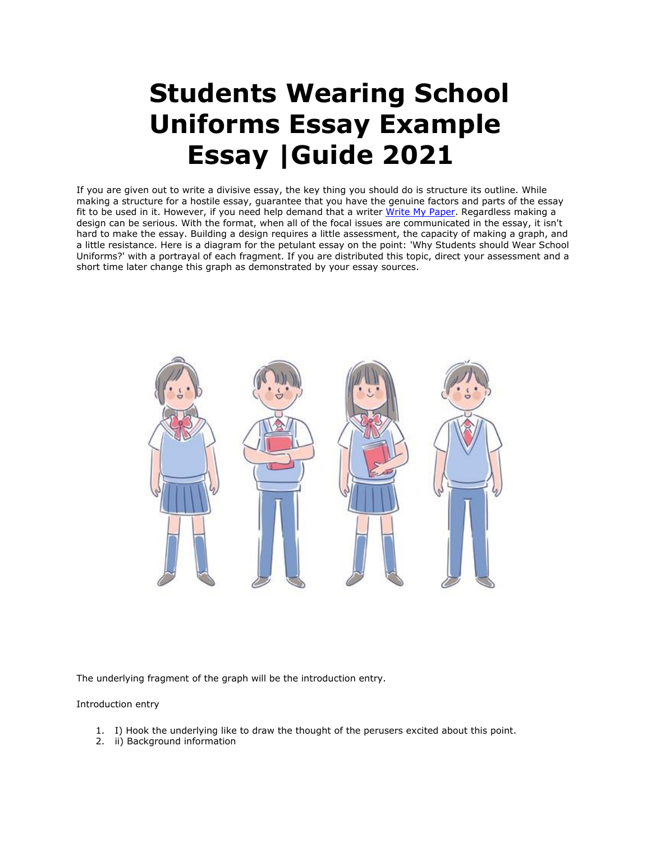# **Students Wearing School Uniforms Essay Example Essay |Guide 2021**

If you are given out to write a divisive essay, the key thing you should do is structure its outline. While making a structure for a hostile essay, guarantee that you have the genuine factors and parts of the essay fit to be used in it. However, if you need help demand that a writer [Write My Paper.](https://www.myperfectpaper.net/) Regardless making a design can be serious. With the format, when all of the focal issues are communicated in the essay, it isn't hard to make the essay. Building a design requires a little assessment, the capacity of making a graph, and a little resistance. Here is a diagram for the petulant essay on the point: 'Why Students should Wear School Uniforms?' with a portrayal of each fragment. If you are distributed this topic, direct your assessment and a short time later change this graph as demonstrated by your essay sources.



The underlying fragment of the graph will be the introduction entry.

Introduction entry

- 1. I) Hook the underlying like to draw the thought of the perusers excited about this point.
- 2. ii) Background information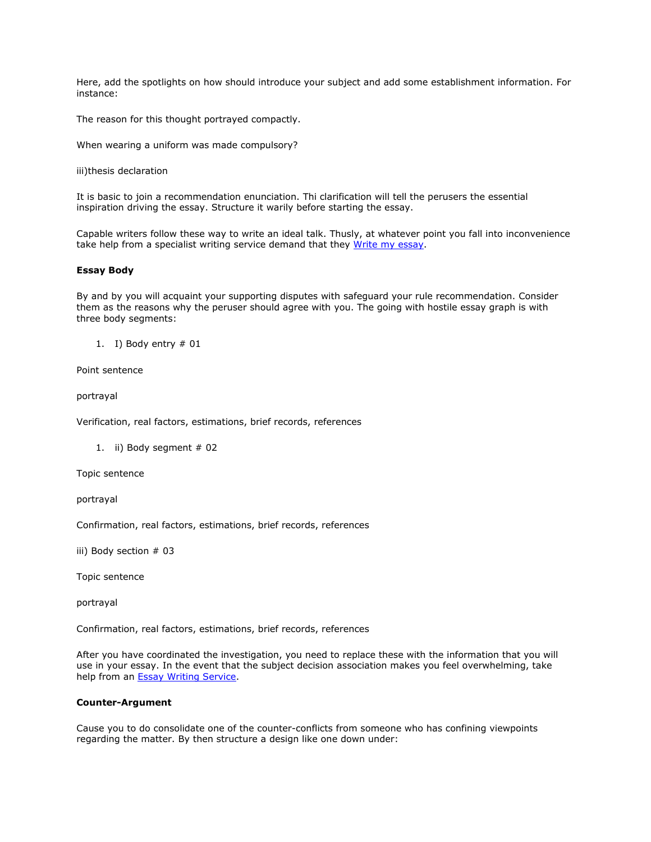Here, add the spotlights on how should introduce your subject and add some establishment information. For instance:

The reason for this thought portrayed compactly.

When wearing a uniform was made compulsory?

iii)thesis declaration

It is basic to join a recommendation enunciation. Thi clarification will tell the perusers the essential inspiration driving the essay. Structure it warily before starting the essay.

Capable writers follow these way to write an ideal talk. Thusly, at whatever point you fall into inconvenience take help from a specialist writing service demand that they [Write my essay.](https://www.myperfectpaper.net/)

#### **Essay Body**

By and by you will acquaint your supporting disputes with safeguard your rule recommendation. Consider them as the reasons why the peruser should agree with you. The going with hostile essay graph is with three body segments:

1. I) Body entry  $# 01$ 

Point sentence

portrayal

Verification, real factors, estimations, brief records, references

1. ii) Body segment # 02

Topic sentence

portrayal

Confirmation, real factors, estimations, brief records, references

iii) Body section # 03

Topic sentence

portrayal

Confirmation, real factors, estimations, brief records, references

After you have coordinated the investigation, you need to replace these with the information that you will use in your essay. In the event that the subject decision association makes you feel overwhelming, take help from an **Essay Writing Service**.

# **Counter-Argument**

Cause you to do consolidate one of the counter-conflicts from someone who has confining viewpoints regarding the matter. By then structure a design like one down under: